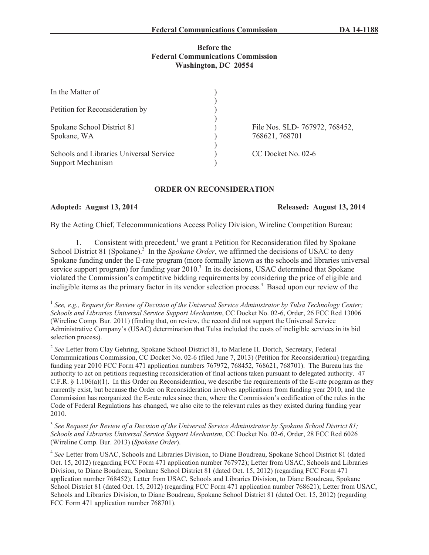## **Before the Federal Communications Commission Washington, DC 20554**

| In the Matter of                        |                               |
|-----------------------------------------|-------------------------------|
|                                         |                               |
| Petition for Reconsideration by         |                               |
|                                         |                               |
| Spokane School District 81              | File Nos. SLD-767972, 768452, |
| Spokane, WA                             | 768621, 768701                |
|                                         |                               |
| Schools and Libraries Universal Service | CC Docket No. 02-6            |
| <b>Support Mechanism</b>                |                               |

## **ORDER ON RECONSIDERATION**

# **Adopted: August 13, 2014 Released: August 13, 2014**

By the Acting Chief, Telecommunications Access Policy Division, Wireline Competition Bureau:

1. Consistent with precedent, $<sup>1</sup>$  we grant a Petition for Reconsideration filed by Spokane</sup> School District 81 (Spokane).<sup>2</sup> In the *Spokane Order*, we affirmed the decisions of USAC to deny Spokane funding under the E-rate program (more formally known as the schools and libraries universal service support program) for funding year  $2010<sup>3</sup>$  In its decisions, USAC determined that Spokane violated the Commission's competitive bidding requirements by considering the price of eligible and ineligible items as the primary factor in its vendor selection process.<sup>4</sup> Based upon our review of the

3 *See Request for Review of a Decision of the Universal Service Administrator by Spokane School District 81; Schools and Libraries Universal Service Support Mechanism*, CC Docket No. 02-6, Order, 28 FCC Rcd 6026 (Wireline Comp. Bur. 2013) (*Spokane Order*).

<sup>4</sup> See Letter from USAC, Schools and Libraries Division, to Diane Boudreau, Spokane School District 81 (dated Oct. 15, 2012) (regarding FCC Form 471 application number 767972); Letter from USAC, Schools and Libraries Division, to Diane Boudreau, Spokane School District 81 (dated Oct. 15, 2012) (regarding FCC Form 471 application number 768452); Letter from USAC, Schools and Libraries Division, to Diane Boudreau, Spokane School District 81 (dated Oct. 15, 2012) (regarding FCC Form 471 application number 768621); Letter from USAC, Schools and Libraries Division, to Diane Boudreau, Spokane School District 81 (dated Oct. 15, 2012) (regarding FCC Form 471 application number 768701).

<sup>&</sup>lt;sup>1</sup> See, e.g., Request for Review of Decision of the Universal Service Administrator by Tulsa Technology Center; *Schools and Libraries Universal Service Support Mechanism*, CC Docket No. 02-6, Order, 26 FCC Rcd 13006 (Wireline Comp. Bur. 2011) (finding that, on review, the record did not support the Universal Service Administrative Company's (USAC) determination that Tulsa included the costs of ineligible services in its bid selection process).

<sup>&</sup>lt;sup>2</sup> See Letter from Clay Gehring, Spokane School District 81, to Marlene H. Dortch, Secretary, Federal Communications Commission, CC Docket No. 02-6 (filed June 7, 2013) (Petition for Reconsideration) (regarding funding year 2010 FCC Form 471 application numbers 767972, 768452, 768621, 768701). The Bureau has the authority to act on petitions requesting reconsideration of final actions taken pursuant to delegated authority. 47 C.F.R. § 1.106(a)(1). In this Order on Reconsideration, we describe the requirements of the E-rate program as they currently exist, but because the Order on Reconsideration involves applications from funding year 2010, and the Commission has reorganized the E-rate rules since then, where the Commission's codification of the rules in the Code of Federal Regulations has changed, we also cite to the relevant rules as they existed during funding year 2010.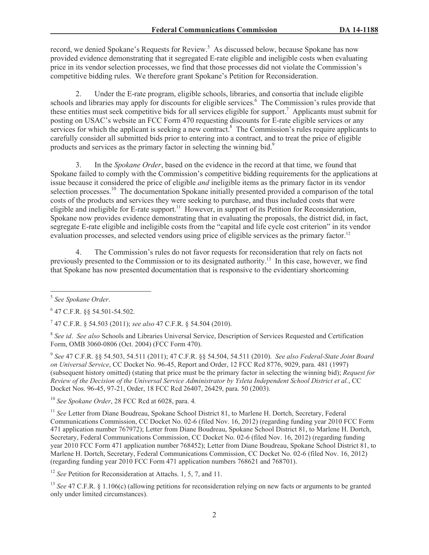record, we denied Spokane's Requests for Review.<sup>5</sup> As discussed below, because Spokane has now provided evidence demonstrating that it segregated E-rate eligible and ineligible costs when evaluating price in its vendor selection processes, we find that those processes did not violate the Commission's competitive bidding rules. We therefore grant Spokane's Petition for Reconsideration.

2. Under the E-rate program, eligible schools, libraries, and consortia that include eligible schools and libraries may apply for discounts for eligible services.<sup>6</sup> The Commission's rules provide that these entities must seek competitive bids for all services eligible for support.<sup>7</sup> Applicants must submit for posting on USAC's website an FCC Form 470 requesting discounts for E-rate eligible services or any services for which the applicant is seeking a new contract.<sup>8</sup> The Commission's rules require applicants to carefully consider all submitted bids prior to entering into a contract, and to treat the price of eligible products and services as the primary factor in selecting the winning bid.<sup>9</sup>

3. In the *Spokane Order*, based on the evidence in the record at that time, we found that Spokane failed to comply with the Commission's competitive bidding requirements for the applications at issue because it considered the price of eligible *and* ineligible items as the primary factor in its vendor selection processes.<sup>10</sup> The documentation Spokane initially presented provided a comparison of the total costs of the products and services they were seeking to purchase, and thus included costs that were eligible and ineligible for E-rate support.<sup>11</sup> However, in support of its Petition for Reconsideration, Spokane now provides evidence demonstrating that in evaluating the proposals, the district did, in fact, segregate E-rate eligible and ineligible costs from the "capital and life cycle cost criterion" in its vendor evaluation processes, and selected vendors using price of eligible services as the primary factor.<sup>12</sup>

4. The Commission's rules do not favor requests for reconsideration that rely on facts not previously presented to the Commission or to its designated authority.<sup>13</sup> In this case, however, we find that Spokane has now presented documentation that is responsive to the evidentiary shortcoming

9 *See* 47 C.F.R. §§ 54.503, 54.511 (2011); 47 C.F.R. §§ 54.504, 54.511 (2010). *See also Federal-State Joint Board on Universal Service*, CC Docket No. 96-45, Report and Order, 12 FCC Rcd 8776, 9029, para. 481 (1997) (subsequent history omitted) (stating that price must be the primary factor in selecting the winning bid); *Request for Review of the Decision of the Universal Service Administrator by Ysleta Independent School District et al.*, CC Docket Nos. 96-45, 97-21, Order, 18 FCC Rcd 26407, 26429, para. 50 (2003).

<sup>10</sup> *See Spokane Order*, 28 FCC Rcd at 6028, para. 4*.* 

<sup>11</sup> See Letter from Diane Boudreau, Spokane School District 81, to Marlene H. Dortch, Secretary, Federal Communications Commission, CC Docket No. 02-6 (filed Nov. 16, 2012) (regarding funding year 2010 FCC Form 471 application number 767972); Letter from Diane Boudreau, Spokane School District 81, to Marlene H. Dortch, Secretary, Federal Communications Commission, CC Docket No. 02-6 (filed Nov. 16, 2012) (regarding funding year 2010 FCC Form 471 application number 768452); Letter from Diane Boudreau, Spokane School District 81, to Marlene H. Dortch, Secretary, Federal Communications Commission, CC Docket No. 02-6 (filed Nov. 16, 2012) (regarding funding year 2010 FCC Form 471 application numbers 768621 and 768701).

<sup>12</sup> *See* Petition for Reconsideration at Attachs. 1, 5, 7, and 11.

<sup>13</sup> *See* 47 C.F.R. § 1.106(c) (allowing petitions for reconsideration relying on new facts or arguments to be granted only under limited circumstances).

<sup>5</sup> *See Spokane Order*.

<sup>6</sup> 47 C.F.R. §§ 54.501-54.502.

<sup>7</sup> 47 C.F.R. § 54.503 (2011); *see also* 47 C.F.R. § 54.504 (2010).

<sup>8</sup> *See id*. *See also* Schools and Libraries Universal Service, Description of Services Requested and Certification Form, OMB 3060-0806 (Oct. 2004) (FCC Form 470).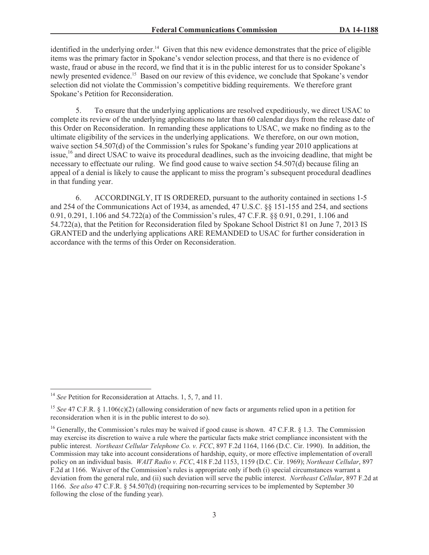identified in the underlying order.<sup>14</sup> Given that this new evidence demonstrates that the price of eligible items was the primary factor in Spokane's vendor selection process, and that there is no evidence of waste, fraud or abuse in the record, we find that it is in the public interest for us to consider Spokane's newly presented evidence.<sup>15</sup> Based on our review of this evidence, we conclude that Spokane's vendor selection did not violate the Commission's competitive bidding requirements. We therefore grant Spokane's Petition for Reconsideration.

5. To ensure that the underlying applications are resolved expeditiously, we direct USAC to complete its review of the underlying applications no later than 60 calendar days from the release date of this Order on Reconsideration. In remanding these applications to USAC, we make no finding as to the ultimate eligibility of the services in the underlying applications. We therefore, on our own motion, waive section 54.507(d) of the Commission's rules for Spokane's funding year 2010 applications at issue,<sup>16</sup> and direct USAC to waive its procedural deadlines, such as the invoicing deadline, that might be necessary to effectuate our ruling. We find good cause to waive section 54.507(d) because filing an appeal of a denial is likely to cause the applicant to miss the program's subsequent procedural deadlines in that funding year.

6. ACCORDINGLY, IT IS ORDERED, pursuant to the authority contained in sections 1-5 and 254 of the Communications Act of 1934, as amended, 47 U.S.C. §§ 151-155 and 254, and sections 0.91, 0.291, 1.106 and 54.722(a) of the Commission's rules, 47 C.F.R. §§ 0.91, 0.291, 1.106 and 54.722(a), that the Petition for Reconsideration filed by Spokane School District 81 on June 7, 2013 IS GRANTED and the underlying applications ARE REMANDED to USAC for further consideration in accordance with the terms of this Order on Reconsideration.

<sup>&</sup>lt;sup>14</sup> *See* Petition for Reconsideration at Attachs. 1, 5, 7, and 11.

<sup>&</sup>lt;sup>15</sup> *See* 47 C.F.R. § 1.106(c)(2) (allowing consideration of new facts or arguments relied upon in a petition for reconsideration when it is in the public interest to do so).

<sup>&</sup>lt;sup>16</sup> Generally, the Commission's rules may be waived if good cause is shown. 47 C.F.R. § 1.3. The Commission may exercise its discretion to waive a rule where the particular facts make strict compliance inconsistent with the public interest. *Northeast Cellular Telephone Co. v. FCC*, 897 F.2d 1164, 1166 (D.C. Cir. 1990). In addition, the Commission may take into account considerations of hardship, equity, or more effective implementation of overall policy on an individual basis. *WAIT Radio v. FCC*, 418 F.2d 1153, 1159 (D.C. Cir. 1969); *Northeast Cellular*, 897 F.2d at 1166. Waiver of the Commission's rules is appropriate only if both (i) special circumstances warrant a deviation from the general rule, and (ii) such deviation will serve the public interest. *Northeast Cellular*, 897 F.2d at 1166. *See also* 47 C.F.R. § 54.507(d) (requiring non-recurring services to be implemented by September 30 following the close of the funding year).